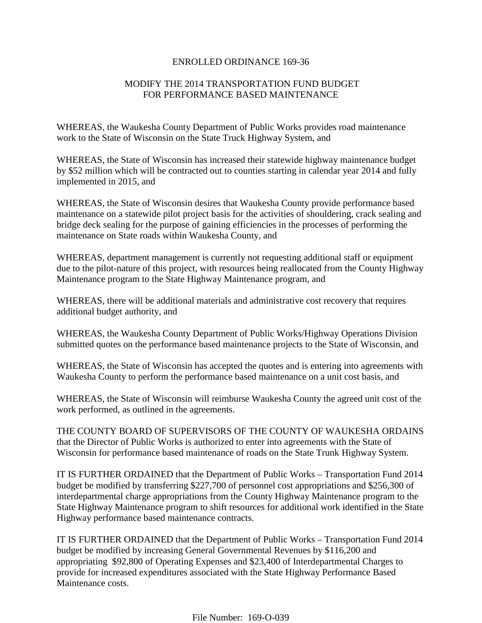## ENROLLED ORDINANCE 169-36

# MODIFY THE 2014 TRANSPORTATION FUND BUDGET FOR PERFORMANCE BASED MAINTENANCE

WHEREAS, the Waukesha County Department of Public Works provides road maintenance work to the State of Wisconsin on the State Truck Highway System, and

WHEREAS, the State of Wisconsin has increased their statewide highway maintenance budget by \$52 million which will be contracted out to counties starting in calendar year 2014 and fully implemented in 2015, and

WHEREAS, the State of Wisconsin desires that Waukesha County provide performance based maintenance on a statewide pilot project basis for the activities of shouldering, crack sealing and bridge deck sealing for the purpose of gaining efficiencies in the processes of performing the maintenance on State roads within Waukesha County, and

WHEREAS, department management is currently not requesting additional staff or equipment due to the pilot-nature of this project, with resources being reallocated from the County Highway Maintenance program to the State Highway Maintenance program, and

WHEREAS, there will be additional materials and administrative cost recovery that requires additional budget authority, and

WHEREAS, the Waukesha County Department of Public Works/Highway Operations Division submitted quotes on the performance based maintenance projects to the State of Wisconsin, and

WHEREAS, the State of Wisconsin has accepted the quotes and is entering into agreements with Waukesha County to perform the performance based maintenance on a unit cost basis, and

WHEREAS, the State of Wisconsin will reimburse Waukesha County the agreed unit cost of the work performed, as outlined in the agreements.

THE COUNTY BOARD OF SUPERVISORS OF THE COUNTY OF WAUKESHA ORDAINS that the Director of Public Works is authorized to enter into agreements with the State of Wisconsin for performance based maintenance of roads on the State Trunk Highway System.

IT IS FURTHER ORDAINED that the Department of Public Works – Transportation Fund 2014 budget be modified by transferring \$227,700 of personnel cost appropriations and \$256,300 of interdepartmental charge appropriations from the County Highway Maintenance program to the State Highway Maintenance program to shift resources for additional work identified in the State Highway performance based maintenance contracts.

IT IS FURTHER ORDAINED that the Department of Public Works – Transportation Fund 2014 budget be modified by increasing General Governmental Revenues by \$116,200 and appropriating \$92,800 of Operating Expenses and \$23,400 of Interdepartmental Charges to provide for increased expenditures associated with the State Highway Performance Based Maintenance costs.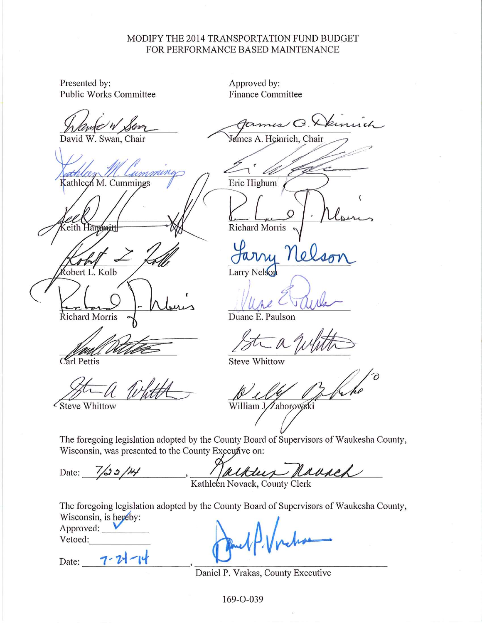## MODIFY THE 2014 TRANSPORTATION FUND BUDGET FOR PERFORMANCE BASED MAINTENANCE

Presented by: **Public Works Committee** 

David W. Swan, Chair

imine Kathleen M. Cummings

Hantwitt

obert L. Kolb **Richard Morris** 

Carl Pettis

Approved by: **Finance Committee** 

emuch **James** A. Heinrich, Chair <u>in</u> Eric Highum **Richard Morris** 

Larry

Duane E. Paulson

**Steve Whittow** 

William JZaborowski

Steve Whittow

Date:

The foregoing legislation adopted by the County Board of Supervisors of Waukesha County, Wisconsin, was presented to the County Executive on:

alklus Rausek  $7/30/4$ 

Kathleen Novack, County Clerk

The foregoing legislation adopted by the County Board of Supervisors of Waukesha County, Wisconsin, is hereby:

Approved: Vetoed:

 $7 - 7$ Date:

Daniel P. Vrakas, County Executive

169-0-039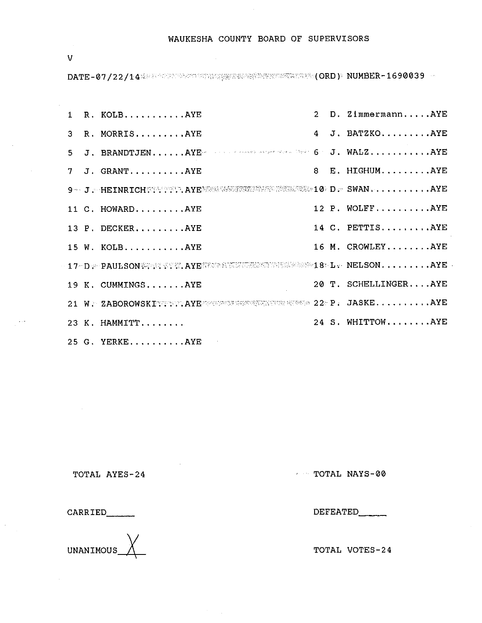WAUKESHA COUNTY BOARD OF SUPERVISORS

 $\overline{V}$ 

|  | 1 R. KOLBAYE                                                        |  | 2 D. ZimmermannAYE   |
|--|---------------------------------------------------------------------|--|----------------------|
|  | 3 R. MORRISAYE                                                      |  | 4 J. BATZKOAYE       |
|  | 5 J. BRANDTJENAYE SALL SERVICE SERVED OF J. WALZAYE                 |  |                      |
|  | 7 J. GRANTAYE                                                       |  | 8 E. HIGHUMAYE       |
|  | 9 - J. HEINRICH :: T. AYEWWWW. WILLOWS 10 D. SWAN AYE               |  |                      |
|  | 11 C. HOWARDAYE                                                     |  | 12 P. WOLFFAYE       |
|  | 13 P. DECKER.  AYE                                                  |  | 14 C. PETTISAYE      |
|  | 15 W. KOLBAYE                                                       |  | 16 M. CROWLEYAYE     |
|  | 17 DE PAULSON SER AYERRE SERVES ENTERED SERVES 18 L. NELSON AYE     |  |                      |
|  | 19 K. CUMMINGSAYE                                                   |  | 20 T. SCHELLINGERAYE |
|  | 21 W > ZABOROWSKITTET, AYEZZEREZEREN ENERGY EXTERNE 22- P. JASKEAYE |  |                      |
|  | 23 K. HAMMITT                                                       |  | 24 S. WHITTOWAYE     |
|  | 25 G. YERKEAYE                                                      |  |                      |

TOTAL AYES-24

TOTAL NAYS-00

**CARRIED** 

UNANIMOUS

DEFEATED

TOTAL VOTES-24